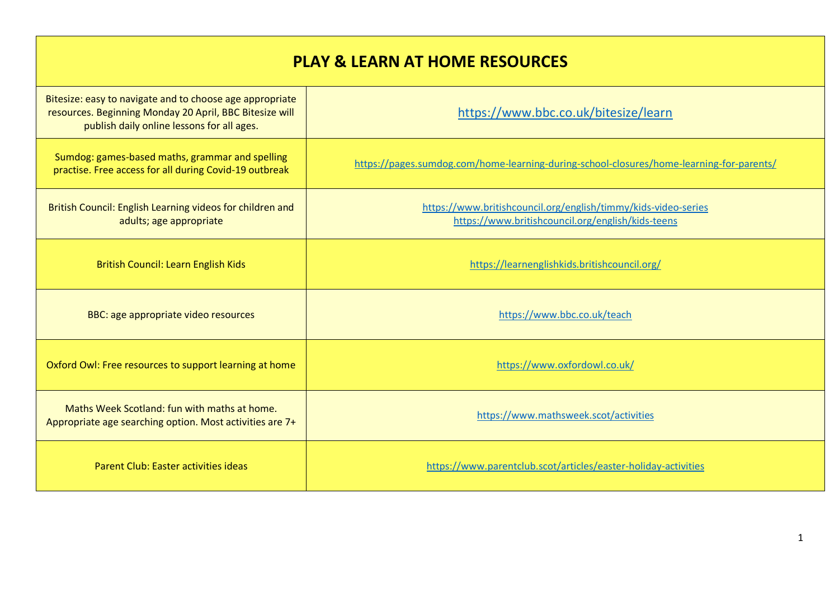## **PLAY & LEARN AT HOME RESOURCES**

| Bitesize: easy to navigate and to choose age appropriate<br>resources. Beginning Monday 20 April, BBC Bitesize will<br>publish daily online lessons for all ages. | https://www.bbc.co.uk/bitesize/learn                                                                                |
|-------------------------------------------------------------------------------------------------------------------------------------------------------------------|---------------------------------------------------------------------------------------------------------------------|
| Sumdog: games-based maths, grammar and spelling<br>practise. Free access for all during Covid-19 outbreak                                                         | https://pages.sumdog.com/home-learning-during-school-closures/home-learning-for-parents/                            |
| British Council: English Learning videos for children and<br>adults; age appropriate                                                                              | https://www.britishcouncil.org/english/timmy/kids-video-series<br>https://www.britishcouncil.org/english/kids-teens |
| <b>British Council: Learn English Kids</b>                                                                                                                        | https://learnenglishkids.britishcouncil.org/                                                                        |
| BBC: age appropriate video resources                                                                                                                              | https://www.bbc.co.uk/teach                                                                                         |
| Oxford Owl: Free resources to support learning at home                                                                                                            | https://www.oxfordowl.co.uk/                                                                                        |
| Maths Week Scotland: fun with maths at home.<br>Appropriate age searching option. Most activities are 7+                                                          | https://www.mathsweek.scot/activities                                                                               |
| Parent Club: Easter activities ideas                                                                                                                              | https://www.parentclub.scot/articles/easter-holiday-activities                                                      |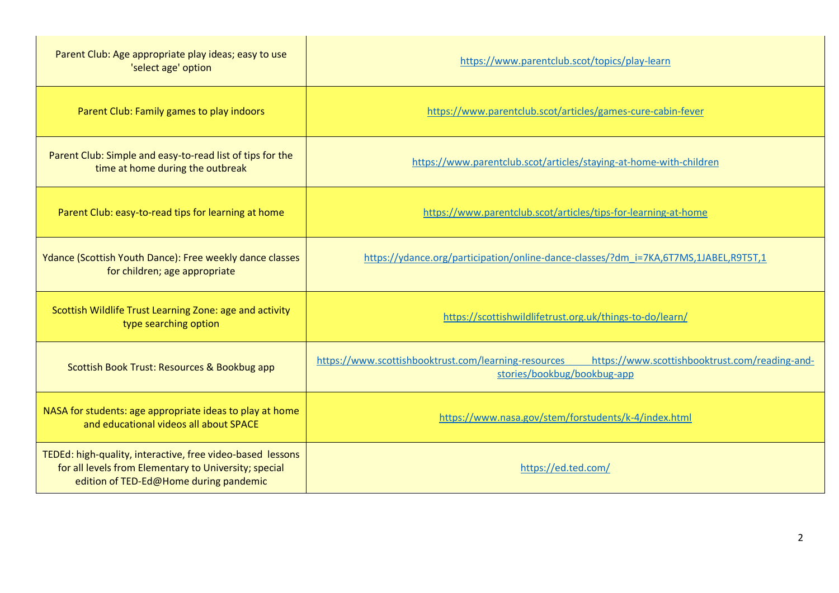| Parent Club: Age appropriate play ideas; easy to use<br>'select age' option                                                                                   | https://www.parentclub.scot/topics/play-learn                                                                                         |
|---------------------------------------------------------------------------------------------------------------------------------------------------------------|---------------------------------------------------------------------------------------------------------------------------------------|
| Parent Club: Family games to play indoors                                                                                                                     | https://www.parentclub.scot/articles/games-cure-cabin-fever                                                                           |
| Parent Club: Simple and easy-to-read list of tips for the<br>time at home during the outbreak                                                                 | https://www.parentclub.scot/articles/staying-at-home-with-children                                                                    |
| Parent Club: easy-to-read tips for learning at home                                                                                                           | https://www.parentclub.scot/articles/tips-for-learning-at-home                                                                        |
| Ydance (Scottish Youth Dance): Free weekly dance classes<br>for children; age appropriate                                                                     | https://ydance.org/participation/online-dance-classes/?dm i=7KA,6T7MS,1JABEL,R9T5T,1                                                  |
| Scottish Wildlife Trust Learning Zone: age and activity<br>type searching option                                                                              | https://scottishwildlifetrust.org.uk/things-to-do/learn/                                                                              |
| Scottish Book Trust: Resources & Bookbug app                                                                                                                  | https://www.scottishbooktrust.com/learning-resources<br>https://www.scottishbooktrust.com/reading-and-<br>stories/bookbug/bookbug-app |
| NASA for students: age appropriate ideas to play at home<br>and educational videos all about SPACE                                                            | https://www.nasa.gov/stem/forstudents/k-4/index.html                                                                                  |
| TEDEd: high-quality, interactive, free video-based lessons<br>for all levels from Elementary to University; special<br>edition of TED-Ed@Home during pandemic | https://ed.ted.com/                                                                                                                   |